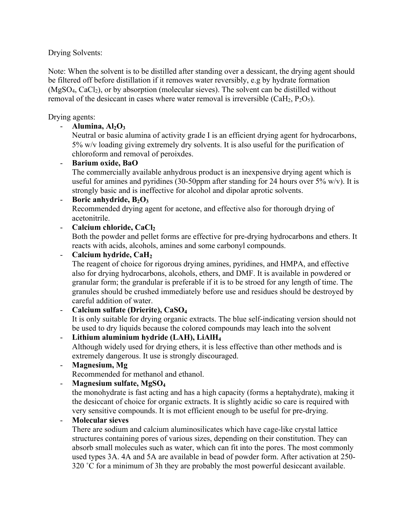Drying Solvents:

Note: When the solvent is to be distilled after standing over a dessicant, the drying agent should be filtered off before distillation if it removes water reversibly, e.g by hydrate formation  $(MgSO<sub>4</sub>, CaCl<sub>2</sub>)$ , or by absorption (molecular sieves). The solvent can be distilled without removal of the desiccant in cases where water removal is irreversible  $(CaH<sub>2</sub>, P<sub>2</sub>O<sub>5</sub>)$ .

Drying agents:

 $-$  **Alumina,**  $Al_2O_3$ 

Neutral or basic alumina of activity grade I is an efficient drying agent for hydrocarbons, 5% w/v loading giving extremely dry solvents. It is also useful for the purification of chloroform and removal of peroixdes.

# - **Barium oxide, BaO**

The commercially available anhydrous product is an inexpensive drying agent which is useful for amines and pyridines (30-50ppm after standing for 24 hours over  $5\%$  w/v). It is strongly basic and is ineffective for alcohol and dipolar aprotic solvents.

# - **Boric anhydride, B<sub>2</sub>O<sub>3</sub>**

Recommended drying agent for acetone, and effective also for thorough drying of acetonitrile.

# - **Calcium chloride, CaCl<sub>2</sub>**

Both the powder and pellet forms are effective for pre-drying hydrocarbons and ethers. It reacts with acids, alcohols, amines and some carbonyl compounds.

- **Calcium hydride, CaH2**

The reagent of choice for rigorous drying amines, pyridines, and HMPA, and effective also for drying hydrocarbons, alcohols, ethers, and DMF. It is available in powdered or granular form; the grandular is preferable if it is to be stroed for any length of time. The granules should be crushed immediately before use and residues should be destroyed by careful addition of water.

- **Calcium sulfate (Drierite), CaSO4** It is only suitable for drying organic extracts. The blue self-indicating version should not be used to dry liquids because the colored compounds may leach into the solvent - **Lithium aluminium hydride (LAH), LiAlH4**

Although widely used for drying ethers, it is less effective than other methods and is extremely dangerous. It use is strongly discouraged.

- **Magnesium, Mg**

Recommended for methanol and ethanol.

- **Magnesium sulfate, MgSO4**

the monohydrate is fast acting and has a high capacity (forms a heptahydrate), making it the desiccant of choice for organic extracts. It is slightly acidic so care is required with very sensitive compounds. It is mot efficient enough to be useful for pre-drying.

## - **Molecular sieves**

There are sodium and calcium aluminosilicates which have cage-like crystal lattice structures containing pores of various sizes, depending on their constitution. They can absorb small molecules such as water, which can fit into the pores. The most commonly used types 3A. 4A and 5A are available in bead of powder form. After activation at 250- 320 ˚C for a minimum of 3h they are probably the most powerful desiccant available.